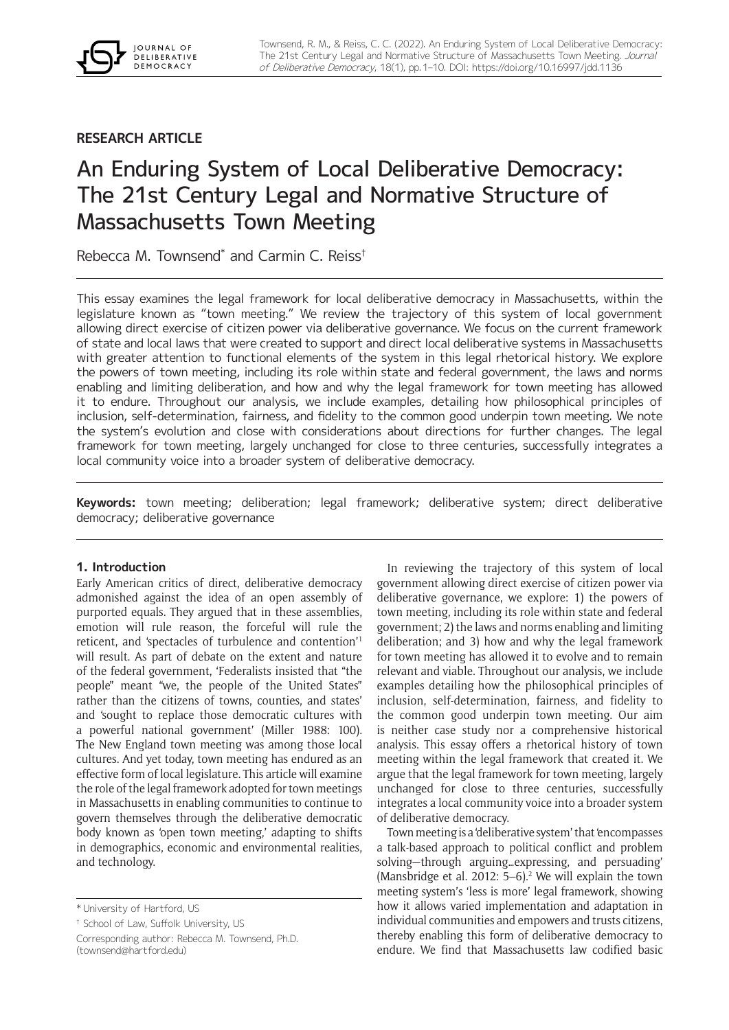# **RESEARCH ARTICLE**

JOURNAL OF **DELIBERATIVE DEMOCRACY** 

# An Enduring System of Local Deliberative Democracy: The 21st Century Legal and Normative Structure of Massachusetts Town Meeting

Rebecca M. Townsend\* and Carmin C. Reiss†

This essay examines the legal framework for local deliberative democracy in Massachusetts, within the legislature known as "town meeting." We review the trajectory of this system of local government allowing direct exercise of citizen power via deliberative governance. We focus on the current framework of state and local laws that were created to support and direct local deliberative systems in Massachusetts with greater attention to functional elements of the system in this legal rhetorical history. We explore the powers of town meeting, including its role within state and federal government, the laws and norms enabling and limiting deliberation, and how and why the legal framework for town meeting has allowed it to endure. Throughout our analysis, we include examples, detailing how philosophical principles of inclusion, self-determination, fairness, and fidelity to the common good underpin town meeting. We note the system's evolution and close with considerations about directions for further changes. The legal framework for town meeting, largely unchanged for close to three centuries, successfully integrates a local community voice into a broader system of deliberative democracy.

**Keywords:** town meeting; deliberation; legal framework; deliberative system; direct deliberative democracy; deliberative governance

# **1. Introduction**

Early American critics of direct, deliberative democracy admonished against the idea of an open assembly of purported equals. They argued that in these assemblies, emotion will rule reason, the forceful will rule the reticent, and 'spectacles of turbulence and contention'1 will result. As part of debate on the extent and nature of the federal government, 'Federalists insisted that "the people" meant "we, the people of the United States" rather than the citizens of towns, counties, and states' and 'sought to replace those democratic cultures with a powerful national government' (Miller 1988: 100). The New England town meeting was among those local cultures. And yet today, town meeting has endured as an effective form of local legislature. This article will examine the role of the legal framework adopted for town meetings in Massachusetts in enabling communities to continue to govern themselves through the deliberative democratic body known as 'open town meeting,' adapting to shifts in demographics, economic and environmental realities, and technology.

† School of Law, Suffolk University, US

In reviewing the trajectory of this system of local government allowing direct exercise of citizen power via deliberative governance, we explore: 1) the powers of town meeting, including its role within state and federal government; 2) the laws and norms enabling and limiting deliberation; and 3) how and why the legal framework for town meeting has allowed it to evolve and to remain relevant and viable. Throughout our analysis, we include examples detailing how the philosophical principles of inclusion, self-determination, fairness, and fidelity to the common good underpin town meeting. Our aim is neither case study nor a comprehensive historical analysis. This essay offers a rhetorical history of town meeting within the legal framework that created it. We argue that the legal framework for town meeting, largely unchanged for close to three centuries, successfully integrates a local community voice into a broader system of deliberative democracy.

Town meeting is a 'deliberative system' that 'encompasses a talk-based approach to political conflict and problem solving—through arguing…expressing, and persuading' (Mansbridge et al.  $2012: 5-6$ ).<sup>2</sup> We will explain the town meeting system's 'less is more' legal framework, showing how it allows varied implementation and adaptation in individual communities and empowers and trusts citizens, thereby enabling this form of deliberative democracy to endure. We find that Massachusetts law codified basic

<sup>\*</sup> University of Hartford, US

Corresponding author: Rebecca M. Townsend, Ph.D. [\(townsend@hartford.edu\)](mailto:townsend@hartford.edu)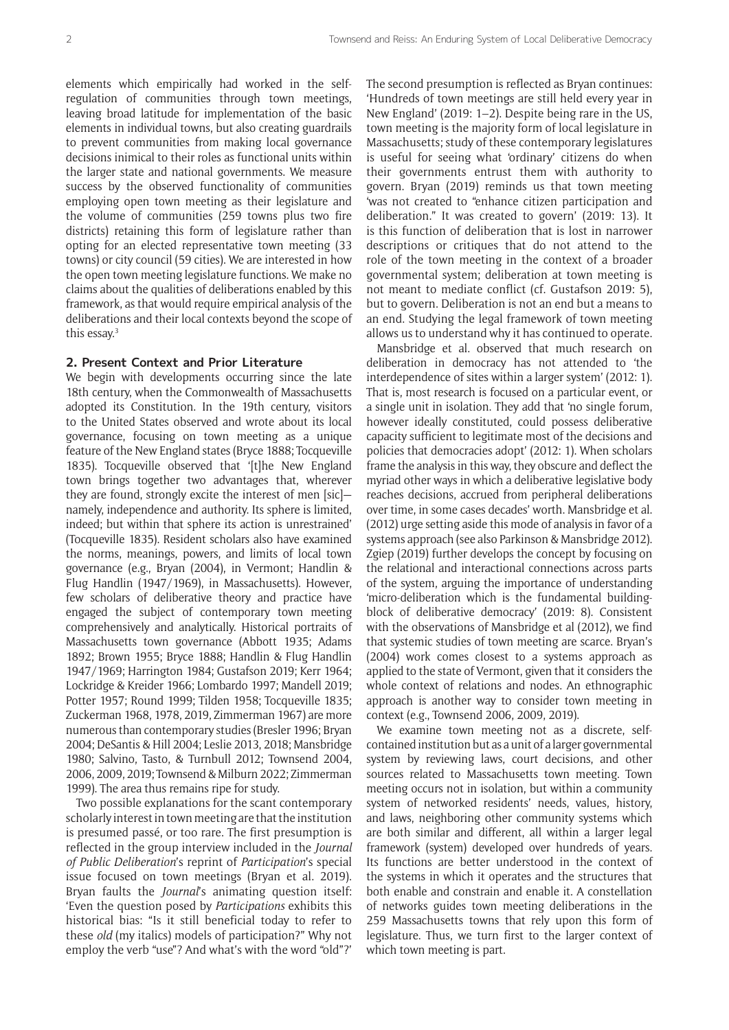elements which empirically had worked in the selfregulation of communities through town meetings, leaving broad latitude for implementation of the basic elements in individual towns, but also creating guardrails to prevent communities from making local governance decisions inimical to their roles as functional units within the larger state and national governments. We measure success by the observed functionality of communities employing open town meeting as their legislature and the volume of communities (259 towns plus two fire districts) retaining this form of legislature rather than opting for an elected representative town meeting (33 towns) or city council (59 cities). We are interested in how the open town meeting legislature functions. We make no claims about the qualities of deliberations enabled by this framework, as that would require empirical analysis of the deliberations and their local contexts beyond the scope of this essay.<sup>3</sup>

#### **2. Present Context and Prior Literature**

We begin with developments occurring since the late 18th century, when the Commonwealth of Massachusetts adopted its Constitution. In the 19th century, visitors to the United States observed and wrote about its local governance, focusing on town meeting as a unique feature of the New England states (Bryce 1888; Tocqueville 1835). Tocqueville observed that '[t]he New England town brings together two advantages that, wherever they are found, strongly excite the interest of men [sic] namely, independence and authority. Its sphere is limited, indeed; but within that sphere its action is unrestrained' (Tocqueville 1835). Resident scholars also have examined the norms, meanings, powers, and limits of local town governance (e.g., Bryan (2004), in Vermont; Handlin & Flug Handlin (1947/1969), in Massachusetts). However, few scholars of deliberative theory and practice have engaged the subject of contemporary town meeting comprehensively and analytically. Historical portraits of Massachusetts town governance (Abbott 1935; Adams 1892; Brown 1955; Bryce 1888; Handlin & Flug Handlin 1947/1969; Harrington 1984; Gustafson 2019; Kerr 1964; Lockridge & Kreider 1966; Lombardo 1997; Mandell 2019; Potter 1957; Round 1999; Tilden 1958; Tocqueville 1835; Zuckerman 1968, 1978, 2019, Zimmerman 1967) are more numerous than contemporary studies (Bresler 1996; Bryan 2004; DeSantis & Hill 2004; Leslie 2013, 2018; Mansbridge 1980; Salvino, Tasto, & Turnbull 2012; Townsend 2004, 2006, 2009, 2019; Townsend & Milburn 2022; Zimmerman 1999). The area thus remains ripe for study.

Two possible explanations for the scant contemporary scholarly interest in town meeting are that the institution is presumed passé, or too rare. The first presumption is reflected in the group interview included in the *Journal of Public Deliberation*'s reprint of *Participation*'s special issue focused on town meetings (Bryan et al. 2019). Bryan faults the *Journal*'s animating question itself: 'Even the question posed by *Participations* exhibits this historical bias: "Is it still beneficial today to refer to these *old* (my italics) models of participation?" Why not employ the verb "use"? And what's with the word "old"?'

The second presumption is reflected as Bryan continues: 'Hundreds of town meetings are still held every year in New England' (2019: 1–2). Despite being rare in the US, town meeting is the majority form of local legislature in Massachusetts; study of these contemporary legislatures is useful for seeing what 'ordinary' citizens do when their governments entrust them with authority to govern. Bryan (2019) reminds us that town meeting 'was not created to "enhance citizen participation and deliberation." It was created to govern' (2019: 13). It is this function of deliberation that is lost in narrower descriptions or critiques that do not attend to the role of the town meeting in the context of a broader governmental system; deliberation at town meeting is not meant to mediate conflict (cf. Gustafson 2019: 5), but to govern. Deliberation is not an end but a means to an end. Studying the legal framework of town meeting allows us to understand why it has continued to operate.

Mansbridge et al. observed that much research on deliberation in democracy has not attended to 'the interdependence of sites within a larger system' (2012: 1). That is, most research is focused on a particular event, or a single unit in isolation. They add that 'no single forum, however ideally constituted, could possess deliberative capacity sufficient to legitimate most of the decisions and policies that democracies adopt' (2012: 1). When scholars frame the analysis in this way, they obscure and deflect the myriad other ways in which a deliberative legislative body reaches decisions, accrued from peripheral deliberations over time, in some cases decades' worth. Mansbridge et al. (2012) urge setting aside this mode of analysis in favor of a systems approach (see also Parkinson & Mansbridge 2012). Zgiep (2019) further develops the concept by focusing on the relational and interactional connections across parts of the system, arguing the importance of understanding 'micro-deliberation which is the fundamental buildingblock of deliberative democracy' (2019: 8). Consistent with the observations of Mansbridge et al (2012), we find that systemic studies of town meeting are scarce. Bryan's (2004) work comes closest to a systems approach as applied to the state of Vermont, given that it considers the whole context of relations and nodes. An ethnographic approach is another way to consider town meeting in context (e.g., Townsend 2006, 2009, 2019).

We examine town meeting not as a discrete, selfcontained institution but as a unit of a larger governmental system by reviewing laws, court decisions, and other sources related to Massachusetts town meeting. Town meeting occurs not in isolation, but within a community system of networked residents' needs, values, history, and laws, neighboring other community systems which are both similar and different, all within a larger legal framework (system) developed over hundreds of years. Its functions are better understood in the context of the systems in which it operates and the structures that both enable and constrain and enable it. A constellation of networks guides town meeting deliberations in the 259 Massachusetts towns that rely upon this form of legislature. Thus, we turn first to the larger context of which town meeting is part.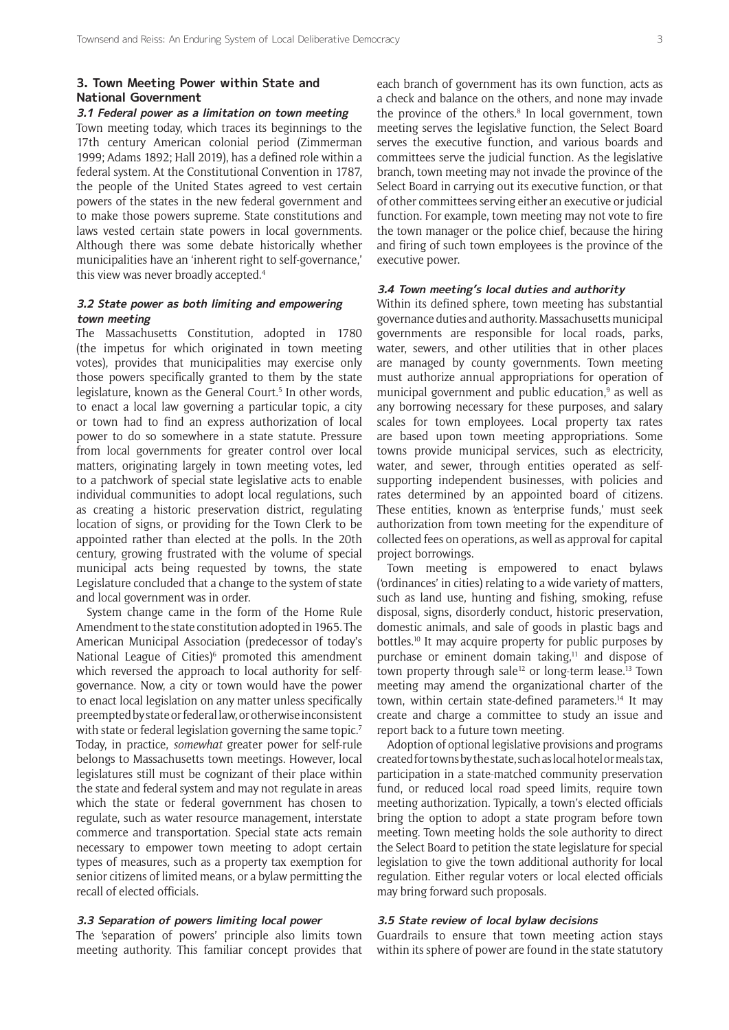# **3. Town Meeting Power within State and National Government**

# **3.1 Federal power as a limitation on town meeting**

Town meeting today, which traces its beginnings to the 17th century American colonial period (Zimmerman 1999; Adams 1892; Hall 2019), has a defined role within a federal system. At the Constitutional Convention in 1787, the people of the United States agreed to vest certain powers of the states in the new federal government and to make those powers supreme. State constitutions and laws vested certain state powers in local governments. Although there was some debate historically whether municipalities have an 'inherent right to self-governance,' this view was never broadly accepted.<sup>4</sup>

## **3.2 State power as both limiting and empowering town meeting**

The Massachusetts Constitution, adopted in 1780 (the impetus for which originated in town meeting votes), provides that municipalities may exercise only those powers specifically granted to them by the state legislature, known as the General Court.<sup>5</sup> In other words, to enact a local law governing a particular topic, a city or town had to find an express authorization of local power to do so somewhere in a state statute. Pressure from local governments for greater control over local matters, originating largely in town meeting votes, led to a patchwork of special state legislative acts to enable individual communities to adopt local regulations, such as creating a historic preservation district, regulating location of signs, or providing for the Town Clerk to be appointed rather than elected at the polls. In the 20th century, growing frustrated with the volume of special municipal acts being requested by towns, the state Legislature concluded that a change to the system of state and local government was in order.

System change came in the form of the Home Rule Amendment to the state constitution adopted in 1965. The American Municipal Association (predecessor of today's National League of Cities)<sup>6</sup> promoted this amendment which reversed the approach to local authority for selfgovernance. Now, a city or town would have the power to enact local legislation on any matter unless specifically preempted by state or federal law, or otherwise inconsistent with state or federal legislation governing the same topic.<sup>7</sup> Today, in practice, *somewhat* greater power for self-rule belongs to Massachusetts town meetings. However, local legislatures still must be cognizant of their place within the state and federal system and may not regulate in areas which the state or federal government has chosen to regulate, such as water resource management, interstate commerce and transportation. Special state acts remain necessary to empower town meeting to adopt certain types of measures, such as a property tax exemption for senior citizens of limited means, or a bylaw permitting the recall of elected officials.

# **3.3 Separation of powers limiting local power**

The 'separation of powers' principle also limits town meeting authority. This familiar concept provides that each branch of government has its own function, acts as a check and balance on the others, and none may invade the province of the others.<sup>8</sup> In local government, town meeting serves the legislative function, the Select Board serves the executive function, and various boards and committees serve the judicial function. As the legislative branch, town meeting may not invade the province of the Select Board in carrying out its executive function, or that of other committees serving either an executive or judicial function. For example, town meeting may not vote to fire the town manager or the police chief, because the hiring and firing of such town employees is the province of the executive power.

# **3.4 Town meeting's local duties and authority**

Within its defined sphere, town meeting has substantial governance duties and authority. Massachusetts municipal governments are responsible for local roads, parks, water, sewers, and other utilities that in other places are managed by county governments. Town meeting must authorize annual appropriations for operation of municipal government and public education,<sup>9</sup> as well as any borrowing necessary for these purposes, and salary scales for town employees. Local property tax rates are based upon town meeting appropriations. Some towns provide municipal services, such as electricity, water, and sewer, through entities operated as selfsupporting independent businesses, with policies and rates determined by an appointed board of citizens. These entities, known as 'enterprise funds,' must seek authorization from town meeting for the expenditure of collected fees on operations, as well as approval for capital project borrowings.

Town meeting is empowered to enact bylaws ('ordinances' in cities) relating to a wide variety of matters, such as land use, hunting and fishing, smoking, refuse disposal, signs, disorderly conduct, historic preservation, domestic animals, and sale of goods in plastic bags and bottles.10 It may acquire property for public purposes by purchase or eminent domain taking, $11$  and dispose of town property through sale<sup>12</sup> or long-term lease.<sup>13</sup> Town meeting may amend the organizational charter of the town, within certain state-defined parameters.<sup>14</sup> It may create and charge a committee to study an issue and report back to a future town meeting.

Adoption of optional legislative provisions and programs created for towns by the state, such as local hotel or meals tax, participation in a state-matched community preservation fund, or reduced local road speed limits, require town meeting authorization. Typically, a town's elected officials bring the option to adopt a state program before town meeting. Town meeting holds the sole authority to direct the Select Board to petition the state legislature for special legislation to give the town additional authority for local regulation. Either regular voters or local elected officials may bring forward such proposals.

#### **3.5 State review of local bylaw decisions**

Guardrails to ensure that town meeting action stays within its sphere of power are found in the state statutory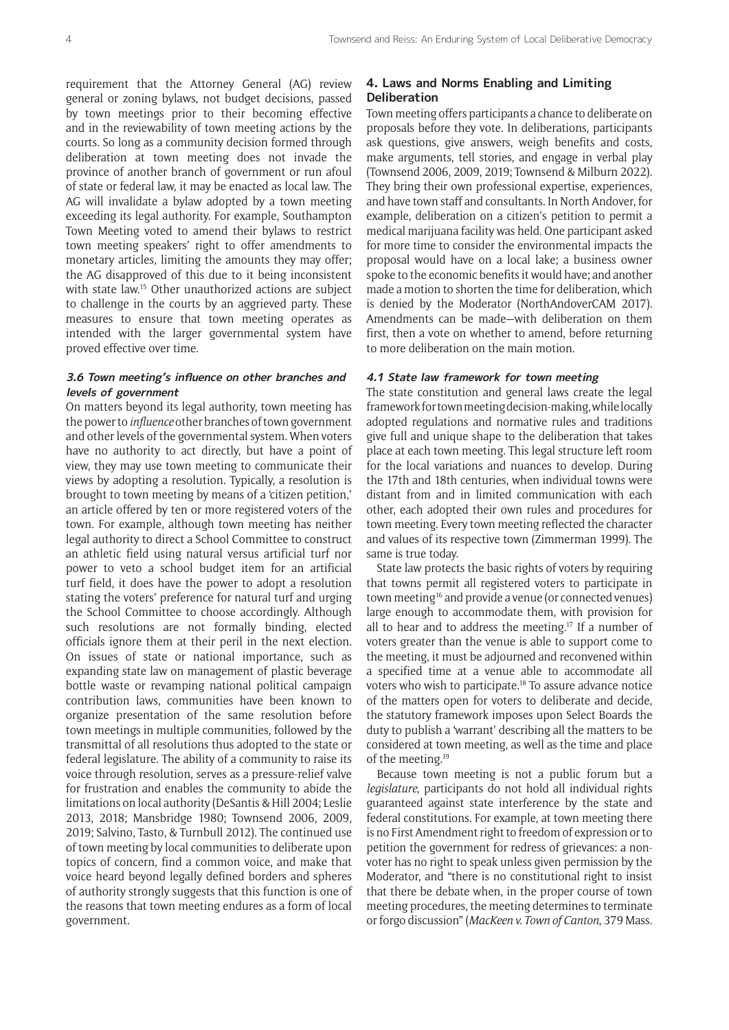requirement that the Attorney General (AG) review general or zoning bylaws, not budget decisions, passed by town meetings prior to their becoming effective and in the reviewability of town meeting actions by the courts. So long as a community decision formed through deliberation at town meeting does not invade the province of another branch of government or run afoul of state or federal law, it may be enacted as local law. The AG will invalidate a bylaw adopted by a town meeting exceeding its legal authority. For example, Southampton Town Meeting voted to amend their bylaws to restrict town meeting speakers' right to offer amendments to monetary articles, limiting the amounts they may offer; the AG disapproved of this due to it being inconsistent with state law.<sup>15</sup> Other unauthorized actions are subject to challenge in the courts by an aggrieved party. These measures to ensure that town meeting operates as intended with the larger governmental system have proved effective over time.

## **3.6 Town meeting's influence on other branches and levels of government**

On matters beyond its legal authority, town meeting has the power to *influence* other branches of town government and other levels of the governmental system. When voters have no authority to act directly, but have a point of view, they may use town meeting to communicate their views by adopting a resolution. Typically, a resolution is brought to town meeting by means of a 'citizen petition,' an article offered by ten or more registered voters of the town. For example, although town meeting has neither legal authority to direct a School Committee to construct an athletic field using natural versus artificial turf nor power to veto a school budget item for an artificial turf field, it does have the power to adopt a resolution stating the voters' preference for natural turf and urging the School Committee to choose accordingly. Although such resolutions are not formally binding, elected officials ignore them at their peril in the next election. On issues of state or national importance, such as expanding state law on management of plastic beverage bottle waste or revamping national political campaign contribution laws, communities have been known to organize presentation of the same resolution before town meetings in multiple communities, followed by the transmittal of all resolutions thus adopted to the state or federal legislature. The ability of a community to raise its voice through resolution, serves as a pressure-relief valve for frustration and enables the community to abide the limitations on local authority (DeSantis & Hill 2004; Leslie 2013, 2018; Mansbridge 1980; Townsend 2006, 2009, 2019; Salvino, Tasto, & Turnbull 2012). The continued use of town meeting by local communities to deliberate upon topics of concern, find a common voice, and make that voice heard beyond legally defined borders and spheres of authority strongly suggests that this function is one of the reasons that town meeting endures as a form of local government.

# **4. Laws and Norms Enabling and Limiting Deliberation**

Town meeting offers participants a chance to deliberate on proposals before they vote. In deliberations, participants ask questions, give answers, weigh benefits and costs, make arguments, tell stories, and engage in verbal play (Townsend 2006, 2009, 2019; Townsend & Milburn 2022). They bring their own professional expertise, experiences, and have town staff and consultants. In North Andover, for example, deliberation on a citizen's petition to permit a medical marijuana facility was held. One participant asked for more time to consider the environmental impacts the proposal would have on a local lake; a business owner spoke to the economic benefits it would have; and another made a motion to shorten the time for deliberation, which is denied by the Moderator (NorthAndoverCAM 2017). Amendments can be made—with deliberation on them first, then a vote on whether to amend, before returning to more deliberation on the main motion.

#### **4.1 State law framework for town meeting**

The state constitution and general laws create the legal framework for town meeting decision-making, while locally adopted regulations and normative rules and traditions give full and unique shape to the deliberation that takes place at each town meeting. This legal structure left room for the local variations and nuances to develop. During the 17th and 18th centuries, when individual towns were distant from and in limited communication with each other, each adopted their own rules and procedures for town meeting. Every town meeting reflected the character and values of its respective town (Zimmerman 1999). The same is true today.

State law protects the basic rights of voters by requiring that towns permit all registered voters to participate in town meeting<sup>16</sup> and provide a venue (or connected venues) large enough to accommodate them, with provision for all to hear and to address the meeting.17 If a number of voters greater than the venue is able to support come to the meeting, it must be adjourned and reconvened within a specified time at a venue able to accommodate all voters who wish to participate.18 To assure advance notice of the matters open for voters to deliberate and decide, the statutory framework imposes upon Select Boards the duty to publish a 'warrant' describing all the matters to be considered at town meeting, as well as the time and place of the meeting.19

Because town meeting is not a public forum but a *legislature*, participants do not hold all individual rights guaranteed against state interference by the state and federal constitutions. For example, at town meeting there is no First Amendment right to freedom of expression or to petition the government for redress of grievances: a nonvoter has no right to speak unless given permission by the Moderator, and "there is no constitutional right to insist that there be debate when, in the proper course of town meeting procedures, the meeting determines to terminate or forgo discussion" (*MacKeen v. Town of Canton*, 379 Mass.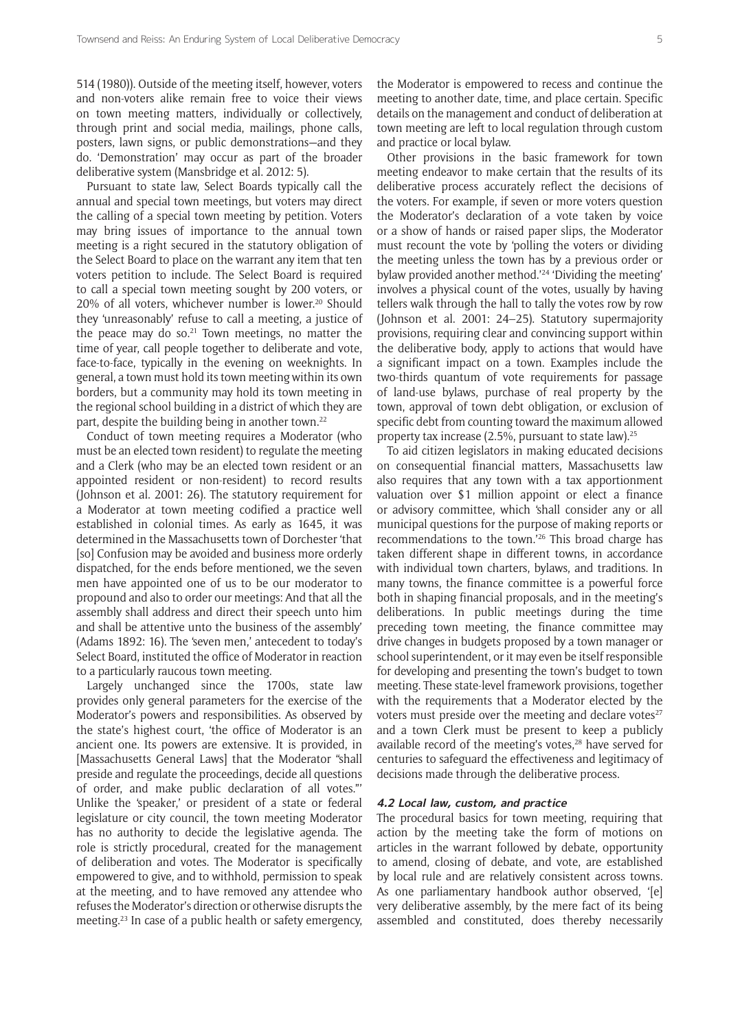514 (1980)). Outside of the meeting itself, however, voters and non-voters alike remain free to voice their views on town meeting matters, individually or collectively, through print and social media, mailings, phone calls, posters, lawn signs, or public demonstrations—and they do. 'Demonstration' may occur as part of the broader deliberative system (Mansbridge et al. 2012: 5).

Pursuant to state law, Select Boards typically call the annual and special town meetings, but voters may direct the calling of a special town meeting by petition. Voters may bring issues of importance to the annual town meeting is a right secured in the statutory obligation of the Select Board to place on the warrant any item that ten voters petition to include. The Select Board is required to call a special town meeting sought by 200 voters, or 20% of all voters, whichever number is lower.<sup>20</sup> Should they 'unreasonably' refuse to call a meeting, a justice of the peace may do so. $21$  Town meetings, no matter the time of year, call people together to deliberate and vote, face-to-face, typically in the evening on weeknights. In general, a town must hold its town meeting within its own borders, but a community may hold its town meeting in the regional school building in a district of which they are part, despite the building being in another town.<sup>22</sup>

Conduct of town meeting requires a Moderator (who must be an elected town resident) to regulate the meeting and a Clerk (who may be an elected town resident or an appointed resident or non-resident) to record results (Johnson et al. 2001: 26). The statutory requirement for a Moderator at town meeting codified a practice well established in colonial times. As early as 1645, it was determined in the Massachusetts town of Dorchester 'that [so] Confusion may be avoided and business more orderly dispatched, for the ends before mentioned, we the seven men have appointed one of us to be our moderator to propound and also to order our meetings: And that all the assembly shall address and direct their speech unto him and shall be attentive unto the business of the assembly' (Adams 1892: 16). The 'seven men,' antecedent to today's Select Board, instituted the office of Moderator in reaction to a particularly raucous town meeting.

Largely unchanged since the 1700s, state law provides only general parameters for the exercise of the Moderator's powers and responsibilities. As observed by the state's highest court, 'the office of Moderator is an ancient one. Its powers are extensive. It is provided, in [Massachusetts General Laws] that the Moderator "shall preside and regulate the proceedings, decide all questions of order, and make public declaration of all votes."' Unlike the 'speaker,' or president of a state or federal legislature or city council, the town meeting Moderator has no authority to decide the legislative agenda. The role is strictly procedural, created for the management of deliberation and votes. The Moderator is specifically empowered to give, and to withhold, permission to speak at the meeting, and to have removed any attendee who refuses the Moderator's direction or otherwise disrupts the meeting.23 In case of a public health or safety emergency,

the Moderator is empowered to recess and continue the meeting to another date, time, and place certain. Specific details on the management and conduct of deliberation at town meeting are left to local regulation through custom and practice or local bylaw.

Other provisions in the basic framework for town meeting endeavor to make certain that the results of its deliberative process accurately reflect the decisions of the voters. For example, if seven or more voters question the Moderator's declaration of a vote taken by voice or a show of hands or raised paper slips, the Moderator must recount the vote by 'polling the voters or dividing the meeting unless the town has by a previous order or bylaw provided another method.'24 'Dividing the meeting' involves a physical count of the votes, usually by having tellers walk through the hall to tally the votes row by row (Johnson et al. 2001: 24–25). Statutory supermajority provisions, requiring clear and convincing support within the deliberative body, apply to actions that would have a significant impact on a town. Examples include the two-thirds quantum of vote requirements for passage of land-use bylaws, purchase of real property by the town, approval of town debt obligation, or exclusion of specific debt from counting toward the maximum allowed property tax increase (2.5%, pursuant to state law).25

To aid citizen legislators in making educated decisions on consequential financial matters, Massachusetts law also requires that any town with a tax apportionment valuation over \$1 million appoint or elect a finance or advisory committee, which 'shall consider any or all municipal questions for the purpose of making reports or recommendations to the town.'26 This broad charge has taken different shape in different towns, in accordance with individual town charters, bylaws, and traditions. In many towns, the finance committee is a powerful force both in shaping financial proposals, and in the meeting's deliberations. In public meetings during the time preceding town meeting, the finance committee may drive changes in budgets proposed by a town manager or school superintendent, or it may even be itself responsible for developing and presenting the town's budget to town meeting. These state-level framework provisions, together with the requirements that a Moderator elected by the voters must preside over the meeting and declare votes $27$ and a town Clerk must be present to keep a publicly available record of the meeting's votes.<sup>28</sup> have served for centuries to safeguard the effectiveness and legitimacy of decisions made through the deliberative process.

#### **4.2 Local law, custom, and practice**

The procedural basics for town meeting, requiring that action by the meeting take the form of motions on articles in the warrant followed by debate, opportunity to amend, closing of debate, and vote, are established by local rule and are relatively consistent across towns. As one parliamentary handbook author observed, '[e] very deliberative assembly, by the mere fact of its being assembled and constituted, does thereby necessarily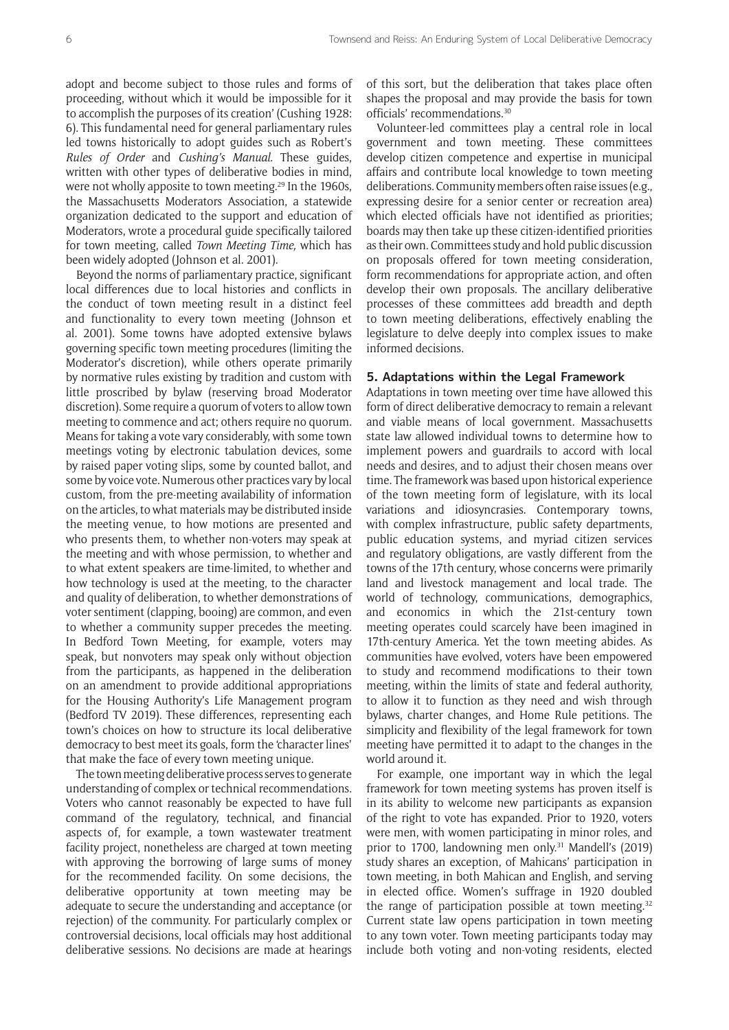adopt and become subject to those rules and forms of proceeding, without which it would be impossible for it to accomplish the purposes of its creation' (Cushing 1928: 6). This fundamental need for general parliamentary rules led towns historically to adopt guides such as Robert's *Rules of Order* and *Cushing's Manual*. These guides, written with other types of deliberative bodies in mind, were not wholly apposite to town meeting.<sup>29</sup> In the 1960s, the Massachusetts Moderators Association, a statewide organization dedicated to the support and education of Moderators, wrote a procedural guide specifically tailored for town meeting, called *Town Meeting Time,* which has been widely adopted (Johnson et al. 2001).

Beyond the norms of parliamentary practice, significant local differences due to local histories and conflicts in the conduct of town meeting result in a distinct feel and functionality to every town meeting (Johnson et al. 2001). Some towns have adopted extensive bylaws governing specific town meeting procedures (limiting the Moderator's discretion), while others operate primarily by normative rules existing by tradition and custom with little proscribed by bylaw (reserving broad Moderator discretion). Some require a quorum of voters to allow town meeting to commence and act; others require no quorum. Means for taking a vote vary considerably, with some town meetings voting by electronic tabulation devices, some by raised paper voting slips, some by counted ballot, and some by voice vote. Numerous other practices vary by local custom, from the pre-meeting availability of information on the articles, to what materials may be distributed inside the meeting venue, to how motions are presented and who presents them, to whether non-voters may speak at the meeting and with whose permission, to whether and to what extent speakers are time-limited, to whether and how technology is used at the meeting, to the character and quality of deliberation, to whether demonstrations of voter sentiment (clapping, booing) are common, and even to whether a community supper precedes the meeting. In Bedford Town Meeting, for example, voters may speak, but nonvoters may speak only without objection from the participants, as happened in the deliberation on an amendment to provide additional appropriations for the Housing Authority's Life Management program (Bedford TV 2019). These differences, representing each town's choices on how to structure its local deliberative democracy to best meet its goals, form the 'character lines' that make the face of every town meeting unique.

The town meeting deliberative process serves to generate understanding of complex or technical recommendations. Voters who cannot reasonably be expected to have full command of the regulatory, technical, and financial aspects of, for example, a town wastewater treatment facility project, nonetheless are charged at town meeting with approving the borrowing of large sums of money for the recommended facility. On some decisions, the deliberative opportunity at town meeting may be adequate to secure the understanding and acceptance (or rejection) of the community. For particularly complex or controversial decisions, local officials may host additional deliberative sessions. No decisions are made at hearings of this sort, but the deliberation that takes place often shapes the proposal and may provide the basis for town officials' recommendations.30

Volunteer-led committees play a central role in local government and town meeting. These committees develop citizen competence and expertise in municipal affairs and contribute local knowledge to town meeting deliberations. Community members often raise issues (e.g., expressing desire for a senior center or recreation area) which elected officials have not identified as priorities; boards may then take up these citizen-identified priorities as their own. Committees study and hold public discussion on proposals offered for town meeting consideration, form recommendations for appropriate action, and often develop their own proposals. The ancillary deliberative processes of these committees add breadth and depth to town meeting deliberations, effectively enabling the legislature to delve deeply into complex issues to make informed decisions.

#### **5. Adaptations within the Legal Framework**

Adaptations in town meeting over time have allowed this form of direct deliberative democracy to remain a relevant and viable means of local government. Massachusetts state law allowed individual towns to determine how to implement powers and guardrails to accord with local needs and desires, and to adjust their chosen means over time. The framework was based upon historical experience of the town meeting form of legislature, with its local variations and idiosyncrasies. Contemporary towns, with complex infrastructure, public safety departments, public education systems, and myriad citizen services and regulatory obligations, are vastly different from the towns of the 17th century, whose concerns were primarily land and livestock management and local trade. The world of technology, communications, demographics, and economics in which the 21st-century town meeting operates could scarcely have been imagined in 17th-century America. Yet the town meeting abides. As communities have evolved, voters have been empowered to study and recommend modifications to their town meeting, within the limits of state and federal authority, to allow it to function as they need and wish through bylaws, charter changes, and Home Rule petitions. The simplicity and flexibility of the legal framework for town meeting have permitted it to adapt to the changes in the world around it.

For example, one important way in which the legal framework for town meeting systems has proven itself is in its ability to welcome new participants as expansion of the right to vote has expanded. Prior to 1920, voters were men, with women participating in minor roles, and prior to 1700, landowning men only.<sup>31</sup> Mandell's (2019) study shares an exception, of Mahicans' participation in town meeting, in both Mahican and English, and serving in elected office. Women's suffrage in 1920 doubled the range of participation possible at town meeting.<sup>32</sup> Current state law opens participation in town meeting to any town voter. Town meeting participants today may include both voting and non-voting residents, elected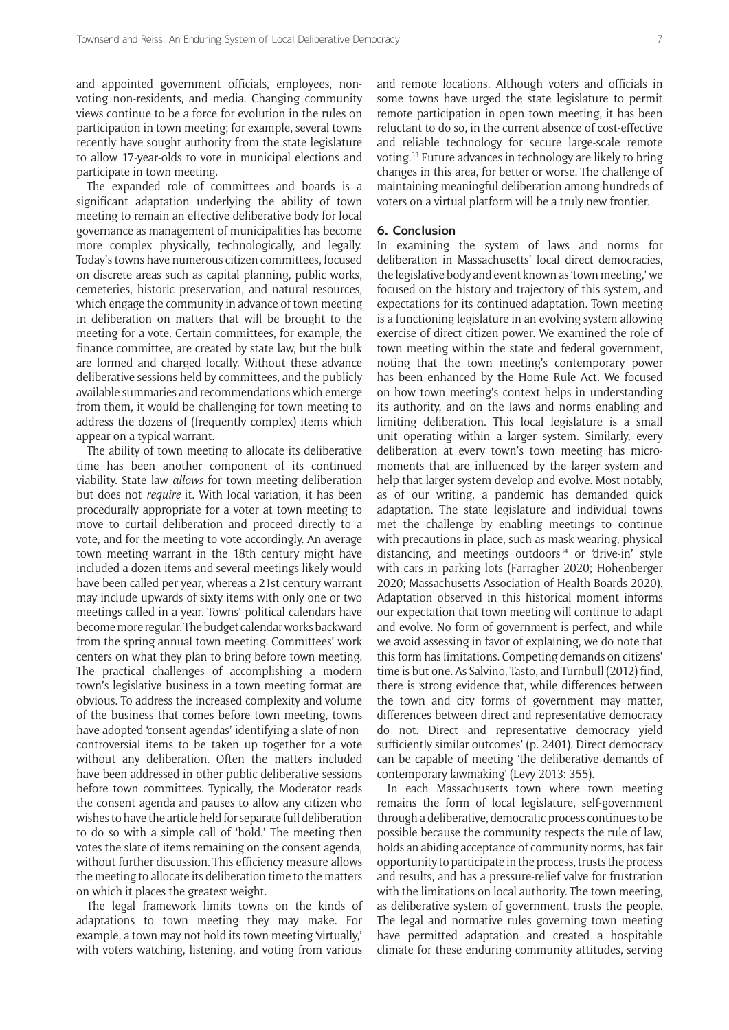and appointed government officials, employees, nonvoting non-residents, and media. Changing community views continue to be a force for evolution in the rules on participation in town meeting; for example, several towns recently have sought authority from the state legislature to allow 17-year-olds to vote in municipal elections and participate in town meeting.

The expanded role of committees and boards is a significant adaptation underlying the ability of town meeting to remain an effective deliberative body for local governance as management of municipalities has become more complex physically, technologically, and legally. Today's towns have numerous citizen committees, focused on discrete areas such as capital planning, public works, cemeteries, historic preservation, and natural resources, which engage the community in advance of town meeting in deliberation on matters that will be brought to the meeting for a vote. Certain committees, for example, the finance committee, are created by state law, but the bulk are formed and charged locally. Without these advance deliberative sessions held by committees, and the publicly available summaries and recommendations which emerge from them, it would be challenging for town meeting to address the dozens of (frequently complex) items which appear on a typical warrant.

The ability of town meeting to allocate its deliberative time has been another component of its continued viability. State law *allows* for town meeting deliberation but does not *require* it. With local variation, it has been procedurally appropriate for a voter at town meeting to move to curtail deliberation and proceed directly to a vote, and for the meeting to vote accordingly. An average town meeting warrant in the 18th century might have included a dozen items and several meetings likely would have been called per year, whereas a 21st-century warrant may include upwards of sixty items with only one or two meetings called in a year. Towns' political calendars have become more regular. The budget calendar works backward from the spring annual town meeting. Committees' work centers on what they plan to bring before town meeting. The practical challenges of accomplishing a modern town's legislative business in a town meeting format are obvious. To address the increased complexity and volume of the business that comes before town meeting, towns have adopted 'consent agendas' identifying a slate of noncontroversial items to be taken up together for a vote without any deliberation. Often the matters included have been addressed in other public deliberative sessions before town committees. Typically, the Moderator reads the consent agenda and pauses to allow any citizen who wishes to have the article held for separate full deliberation to do so with a simple call of 'hold.' The meeting then votes the slate of items remaining on the consent agenda, without further discussion. This efficiency measure allows the meeting to allocate its deliberation time to the matters on which it places the greatest weight.

The legal framework limits towns on the kinds of adaptations to town meeting they may make. For example, a town may not hold its town meeting 'virtually,' with voters watching, listening, and voting from various

and remote locations. Although voters and officials in some towns have urged the state legislature to permit remote participation in open town meeting, it has been reluctant to do so, in the current absence of cost-effective and reliable technology for secure large-scale remote voting.33 Future advances in technology are likely to bring changes in this area, for better or worse. The challenge of maintaining meaningful deliberation among hundreds of voters on a virtual platform will be a truly new frontier.

#### **6. Conclusion**

In examining the system of laws and norms for deliberation in Massachusetts' local direct democracies, the legislative body and event known as 'town meeting,' we focused on the history and trajectory of this system, and expectations for its continued adaptation. Town meeting is a functioning legislature in an evolving system allowing exercise of direct citizen power. We examined the role of town meeting within the state and federal government, noting that the town meeting's contemporary power has been enhanced by the Home Rule Act. We focused on how town meeting's context helps in understanding its authority, and on the laws and norms enabling and limiting deliberation. This local legislature is a small unit operating within a larger system. Similarly, every deliberation at every town's town meeting has micromoments that are influenced by the larger system and help that larger system develop and evolve. Most notably, as of our writing, a pandemic has demanded quick adaptation. The state legislature and individual towns met the challenge by enabling meetings to continue with precautions in place, such as mask-wearing, physical distancing, and meetings outdoors $34$  or 'drive-in' style with cars in parking lots (Farragher 2020; Hohenberger 2020; Massachusetts Association of Health Boards 2020). Adaptation observed in this historical moment informs our expectation that town meeting will continue to adapt and evolve. No form of government is perfect, and while we avoid assessing in favor of explaining, we do note that this form has limitations. Competing demands on citizens' time is but one. As Salvino, Tasto, and Turnbull (2012) find, there is 'strong evidence that, while differences between the town and city forms of government may matter, differences between direct and representative democracy do not. Direct and representative democracy yield sufficiently similar outcomes' (p. 2401). Direct democracy can be capable of meeting 'the deliberative demands of contemporary lawmaking' (Levy 2013: 355).

In each Massachusetts town where town meeting remains the form of local legislature, self-government through a deliberative, democratic process continues to be possible because the community respects the rule of law, holds an abiding acceptance of community norms, has fair opportunity to participate in the process, trusts the process and results, and has a pressure-relief valve for frustration with the limitations on local authority. The town meeting, as deliberative system of government, trusts the people. The legal and normative rules governing town meeting have permitted adaptation and created a hospitable climate for these enduring community attitudes, serving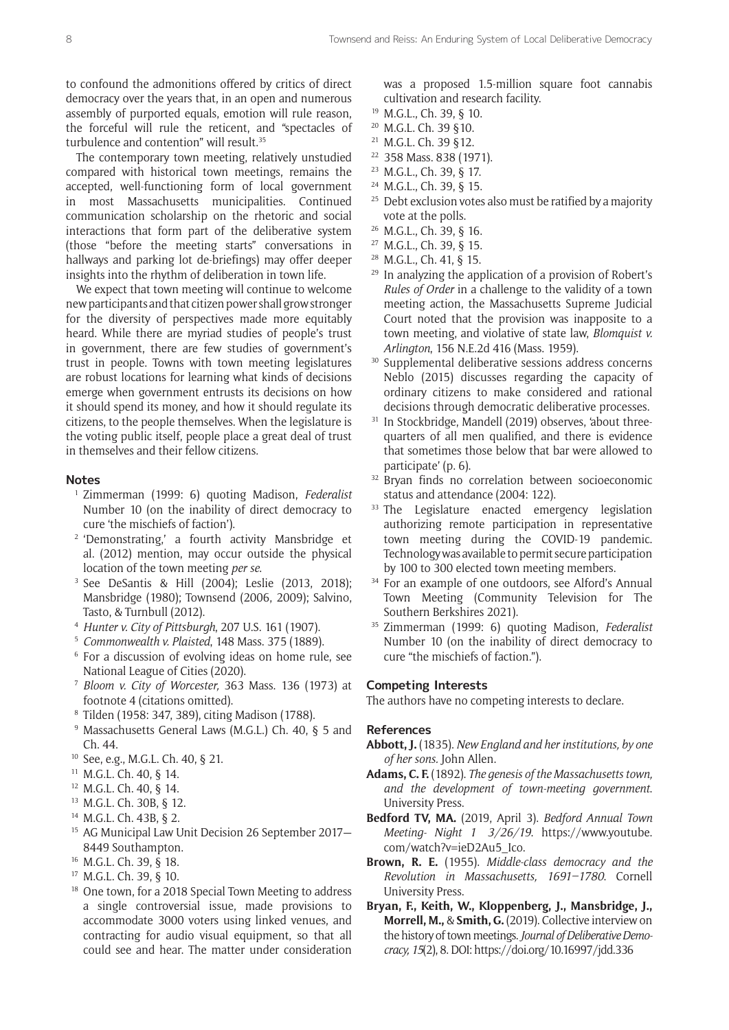to confound the admonitions offered by critics of direct democracy over the years that, in an open and numerous assembly of purported equals, emotion will rule reason, the forceful will rule the reticent, and "spectacles of turbulence and contention" will result.<sup>35</sup>

The contemporary town meeting, relatively unstudied compared with historical town meetings, remains the accepted, well-functioning form of local government in most Massachusetts municipalities. Continued communication scholarship on the rhetoric and social interactions that form part of the deliberative system (those "before the meeting starts" conversations in hallways and parking lot de-briefings) may offer deeper insights into the rhythm of deliberation in town life.

We expect that town meeting will continue to welcome new participants and that citizen power shall grow stronger for the diversity of perspectives made more equitably heard. While there are myriad studies of people's trust in government, there are few studies of government's trust in people. Towns with town meeting legislatures are robust locations for learning what kinds of decisions emerge when government entrusts its decisions on how it should spend its money, and how it should regulate its citizens, to the people themselves. When the legislature is the voting public itself, people place a great deal of trust in themselves and their fellow citizens.

#### **Notes**

- <sup>1</sup> Zimmerman (1999: 6) quoting Madison, *Federalist* Number 10 (on the inability of direct democracy to cure 'the mischiefs of faction').
- <sup>2</sup> 'Demonstrating,' a fourth activity Mansbridge et al. (2012) mention, may occur outside the physical location of the town meeting *per se*.
- <sup>3</sup> See DeSantis & Hill (2004); Leslie (2013, 2018); Mansbridge (1980); Townsend (2006, 2009); Salvino, Tasto, & Turnbull (2012).
- <sup>4</sup> *Hunter v. City of Pittsburgh*, 207 U.S. 161 (1907).
- <sup>5</sup> *Commonwealth v. Plaisted*, 148 Mass. 375 (1889).
- <sup>6</sup> For a discussion of evolving ideas on home rule, see National League of Cities (2020).
- <sup>7</sup> *Bloom v. City of Worcester,* 363 Mass. 136 (1973) at footnote 4 (citations omitted).
- <sup>8</sup> Tilden (1958: 347, 389), citing Madison (1788).
- <sup>9</sup> Massachusetts General Laws (M.G.L.) Ch. 40, § 5 and Ch. 44.
- <sup>10</sup> See, e.g., M.G.L. Ch. 40, § 21.
- <sup>11</sup> M.G.L. Ch. 40, § 14.
- <sup>12</sup> M.G.L. Ch. 40, § 14.
- <sup>13</sup> M.G.L. Ch. 30B, § 12.
- <sup>14</sup> M.G.L. Ch. 43B, § 2.
- <sup>15</sup> AG Municipal Law Unit Decision 26 September 2017— 8449 Southampton.
- <sup>16</sup> M.G.L. Ch. 39, § 18.
- <sup>17</sup> M.G.L. Ch. 39, § 10.
- <sup>18</sup> One town, for a 2018 Special Town Meeting to address a single controversial issue, made provisions to accommodate 3000 voters using linked venues, and contracting for audio visual equipment, so that all could see and hear. The matter under consideration

was a proposed 1.5-million square foot cannabis cultivation and research facility.

- <sup>19</sup> M.G.L., Ch. 39, § 10.
- <sup>20</sup> M.G.L. Ch. 39 §10.
- <sup>21</sup> M.G.L. Ch. 39 §12.
- <sup>22</sup> 358 Mass. 838 (1971).
- <sup>23</sup> M.G.L., Ch. 39, § 17.
- <sup>24</sup> M.G.L., Ch. 39, § 15.
- $25$  Debt exclusion votes also must be ratified by a majority vote at the polls.
- <sup>26</sup> M.G.L., Ch. 39, § 16.
- <sup>27</sup> M.G.L., Ch. 39, § 15.
- <sup>28</sup> M.G.L., Ch. 41, § 15.
- <sup>29</sup> In analyzing the application of a provision of Robert's *Rules of Order* in a challenge to the validity of a town meeting action, the Massachusetts Supreme Judicial Court noted that the provision was inapposite to a town meeting, and violative of state law, *Blomquist v. Arlington*, 156 N.E.2d 416 (Mass. 1959).
- <sup>30</sup> Supplemental deliberative sessions address concerns Neblo (2015) discusses regarding the capacity of ordinary citizens to make considered and rational decisions through democratic deliberative processes.
- <sup>31</sup> In Stockbridge, Mandell (2019) observes, 'about threequarters of all men qualified, and there is evidence that sometimes those below that bar were allowed to participate' (p. 6).
- <sup>32</sup> Bryan finds no correlation between socioeconomic status and attendance (2004: 122).
- <sup>33</sup> The Legislature enacted emergency legislation authorizing remote participation in representative town meeting during the COVID-19 pandemic. Technology was available to permit secure participation by 100 to 300 elected town meeting members.
- <sup>34</sup> For an example of one outdoors, see Alford's Annual Town Meeting (Community Television for The Southern Berkshires 2021).
- <sup>35</sup> Zimmerman (1999: 6) quoting Madison, *Federalist* Number 10 (on the inability of direct democracy to cure "the mischiefs of faction.").

#### **Competing Interests**

The authors have no competing interests to declare.

#### **References**

- **Abbott, J.** (1835). *New England and her institutions, by one of her sons.* John Allen.
- **Adams, C. F.** (1892). *The genesis of the Massachusetts town, and the development of town-meeting government*. University Press.
- **Bedford TV, MA.** (2019, April 3). *Bedford Annual Town Meeting- Night 1 3/26/19*. [https://www.youtube.](https://www.youtube.com/watch?v=ieD2Au5_Ico) [com/watch?v=ieD2Au5\\_Ico](https://www.youtube.com/watch?v=ieD2Au5_Ico).
- **Brown, R. E.** (1955). *Middle-class democracy and the Revolution in Massachusetts, 1691–1780*. Cornell University Press.
- **Bryan, F., Keith, W., Kloppenberg, J., Mansbridge, J., Morrell, M.,** & **Smith, G.** (2019). Collective interview on the history of town meetings. *Journal of Deliberative Democracy, 15*(2), 8. DOI:<https://doi.org/10.16997/jdd.336>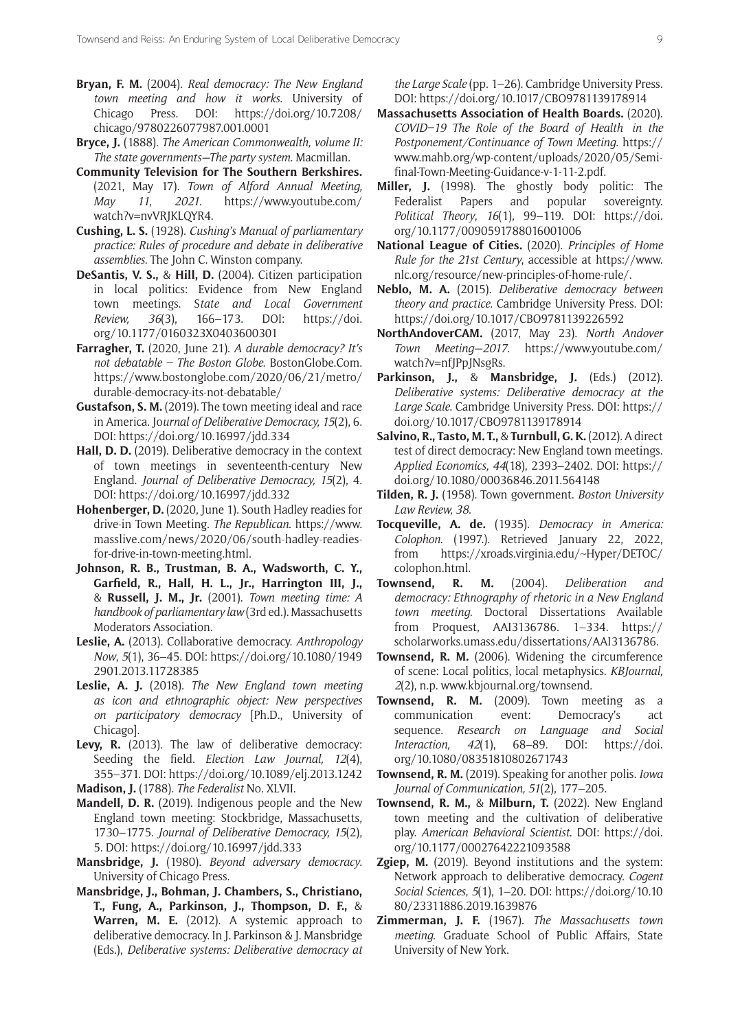- **Bryan, F. M.** (2004). *Real democracy: The New England town meeting and how it works*. University of Chicago Press. DOI: [https://doi.org/10.7208/](https://doi.org/10.7208/chicago/9780226077987.001.0001) [chicago/9780226077987.001.0001](https://doi.org/10.7208/chicago/9780226077987.001.0001)
- **Bryce, J.** (1888). *The American Commonwealth, volume II: The state governments—The party system.* Macmillan.
- **Community Television for The Southern Berkshires.** (2021, May 17). *Town of Alford Annual Meeting, May 11, 2021.* [https://www.youtube.com/](https://www.youtube.com/watch?v=nvVRJKLQYR4) [watch?v=nvVRJKLQYR4](https://www.youtube.com/watch?v=nvVRJKLQYR4).
- **Cushing, L. S.** (1928). *Cushing's Manual of parliamentary practice: Rules of procedure and debate in deliberative assemblies*. The John C. Winston company.
- **DeSantis, V. S.,** & **Hill, D.** (2004). Citizen participation in local politics: Evidence from New England town meetings. S*tate and Local Government Review, 36*(3), 166–173. DOI: [https://doi.](https://doi.org/10.1177/0160323X0403600301) [org/10.1177/0160323X0403600301](https://doi.org/10.1177/0160323X0403600301)
- **Farragher, T.** (2020, June 21). *A durable democracy? It's not debatable – The Boston Globe*. [BostonGlobe.Com.](http://BostonGlobe.Com) [https://www.bostonglobe.com/2020/06/21/metro/](https://www.bostonglobe.com/2020/06/21/metro/durable-democracy-its-not-debatable/) [durable-democracy-its-not-debatable/](https://www.bostonglobe.com/2020/06/21/metro/durable-democracy-its-not-debatable/)
- **Gustafson, S. M.** (2019). The town meeting ideal and race in America. Jo*urnal of Deliberative Democracy, 15*(2), 6. DOI:<https://doi.org/10.16997/jdd.334>
- **Hall, D. D.** (2019). Deliberative democracy in the context of town meetings in seventeenth-century New England. *Journal of Deliberative Democracy, 15*(2), 4. DOI:<https://doi.org/10.16997/jdd.332>
- **Hohenberger, D.** (2020, June 1). South Hadley readies for drive-in Town Meeting. *The Republican*. [https://www.](https://www.masslive.com/news/2020/06/south-hadley-readies-for-drive-in-town-meeting.html) [masslive.com/news/2020/06/south-hadley-readies](https://www.masslive.com/news/2020/06/south-hadley-readies-for-drive-in-town-meeting.html)[for-drive-in-town-meeting.html](https://www.masslive.com/news/2020/06/south-hadley-readies-for-drive-in-town-meeting.html).
- **Johnson, R. B., Trustman, B. A., Wadsworth, C. Y., Garfield, R., Hall, H. L., Jr., Harrington III, J.,** & **Russell, J. M., Jr.** (2001). *Town meeting time: A handbook of parliamentary law* (3rd ed.). Massachusetts Moderators Association.
- **Leslie, A.** (2013). Collaborative democracy. *Anthropology Now*, *5*(1), 36–45. DOI: [https://doi.org/10.1080/1949](https://doi.org/10.1080/19492901.2013.11728385) [2901.2013.11728385](https://doi.org/10.1080/19492901.2013.11728385)
- **Leslie, A. J.** (2018). *The New England town meeting as icon and ethnographic object: New perspectives on participatory democracy* [Ph.D., University of Chicago].
- **Levy, R.** (2013). The law of deliberative democracy: Seeding the field. *Election Law Journal, 12*(4), 355–371. DOI: <https://doi.org/10.1089/elj.2013.1242>
- **Madison, J.** (1788). *The Federalist* No. XLVII.
- **Mandell, D. R.** (2019). Indigenous people and the New England town meeting: Stockbridge, Massachusetts, 1730–1775. *Journal of Deliberative Democracy, 15*(2), 5. DOI: <https://doi.org/10.16997/jdd.333>
- **Mansbridge, J.** (1980). *Beyond adversary democracy*. University of Chicago Press.
- **Mansbridge, J., Bohman, J. Chambers, S., Christiano, T., Fung, A., Parkinson, J., Thompson, D. F.,** & **Warren, M. E.** (2012). A systemic approach to deliberative democracy. In J. Parkinson & J. Mansbridge (Eds.), *Deliberative systems: Deliberative democracy at*

*the Large Scale* (pp. 1–26). Cambridge University Press. DOI: <https://doi.org/10.1017/CBO9781139178914>

- **Massachusetts Association of Health Boards.** (2020). *COVID–19 The Role of the Board of Health in the Postponement/Continuance of Town Meeting*. [https://](https://www.mahb.org/wp-content/uploads/2020/05/Semi-final-Town-Meeting-Guidance-v-1-11-2.pdf) [www.mahb.org/wp-content/uploads/2020/05/Semi](https://www.mahb.org/wp-content/uploads/2020/05/Semi-final-Town-Meeting-Guidance-v-1-11-2.pdf)[final-Town-Meeting-Guidance-v-1-11-2.pdf.](https://www.mahb.org/wp-content/uploads/2020/05/Semi-final-Town-Meeting-Guidance-v-1-11-2.pdf)
- **Miller, J.** (1998). The ghostly body politic: The Federalist Papers and popular sovereignty. *Political Theory*, *16*(1), 99–119. DOI: [https://doi.](https://doi.org/10.1177/0090591788016001006) [org/10.1177/0090591788016001006](https://doi.org/10.1177/0090591788016001006)
- **National League of Cities.** (2020). *Principles of Home Rule for the 21st Century*, accessible at [https://www.](https://www.nlc.org/resource/new-principles-of-home-rule/) [nlc.org/resource/new-principles-of-home-rule/.](https://www.nlc.org/resource/new-principles-of-home-rule/)
- **Neblo, M. A.** (2015). *Deliberative democracy between theory and practice*. Cambridge University Press. DOI: <https://doi.org/10.1017/CBO9781139226592>
- **NorthAndoverCAM.** (2017, May 23). *North Andover Town Meeting—2017*. [https://www.youtube.com/](https://www.youtube.com/watch?v=nfJPpJNsgRs.) [watch?v=nfJPpJNsgRs.](https://www.youtube.com/watch?v=nfJPpJNsgRs.)
- **Parkinson, J.,** & **Mansbridge, J.** (Eds.) (2012). *Deliberative systems: Deliberative democracy at the Large Scale*. Cambridge University Press. DOI: [https://](https://doi.org/10.1017/CBO9781139178914) [doi.org/10.1017/CBO9781139178914](https://doi.org/10.1017/CBO9781139178914)
- **Salvino, R., Tasto, M. T.,** & **Turnbull, G. K.** (2012). A direct test of direct democracy: New England town meetings. *Applied Economics, 44*(18), 2393–2402. DOI: [https://](https://doi.org/10.1080/00036846.2011.564148) [doi.org/10.1080/00036846.2011.564148](https://doi.org/10.1080/00036846.2011.564148)
- **Tilden, R. J.** (1958). Town government. *Boston University Law Review, 38*.
- **Tocqueville, A. de.** (1935). *Democracy in America: Colophon*. (1997.). Retrieved January 22, 2022, from [https://xroads.virginia.edu/~Hyper/DETOC/](https://xroads.virginia.edu/~Hyper/DETOC/colophon.html) [colophon.html](https://xroads.virginia.edu/~Hyper/DETOC/colophon.html).
- **Townsend, R. M.** (2004). *Deliberation and democracy: Ethnography of rhetoric in a New England town meeting*. Doctoral Dissertations Available from Proquest, AAI3136786. 1–334. [https://](https://scholarworks.umass.edu/dissertations/AAI3136786) [scholarworks.umass.edu/dissertations/AAI3136786](https://scholarworks.umass.edu/dissertations/AAI3136786).
- **Townsend, R. M.** (2006). Widening the circumference of scene: Local politics, local metaphysics. *KBJournal, 2*(2), n.p. [www.kbjournal.org/townsend.](http://www.kbjournal.org/townsend)
- **Townsend, R. M.** (2009). Town meeting as a communication event: Democracy's act sequence. *Research on Language and Social Interaction, 42*(1), 68–89. DOI: [https://doi.](https://doi.org/10.1080/08351810802671743) [org/10.1080/08351810802671743](https://doi.org/10.1080/08351810802671743)
- **Townsend, R. M.** (2019). Speaking for another polis. *Iowa Journal of Communication, 51*(2), 177–205.
- **Townsend, R. M.,** & **Milburn, T.** (2022). New England town meeting and the cultivation of deliberative play. *American Behavioral Scientist*. DOI: [https://doi.](https://doi.org/10.1177/00027642221093588) [org/10.1177/00027642221093588](https://doi.org/10.1177/00027642221093588)
- **Zgiep, M.** (2019). Beyond institutions and the system: Network approach to deliberative democracy. *Cogent Social Sciences*, *5*(1), 1–20. DOI: [https://doi.org/10.10](https://doi.org/10.1080/23311886.2019.1639876) [80/23311886.2019.1639876](https://doi.org/10.1080/23311886.2019.1639876)
- **Zimmerman, J. F.** (1967). *The Massachusetts town meeting*. Graduate School of Public Affairs, State University of New York.